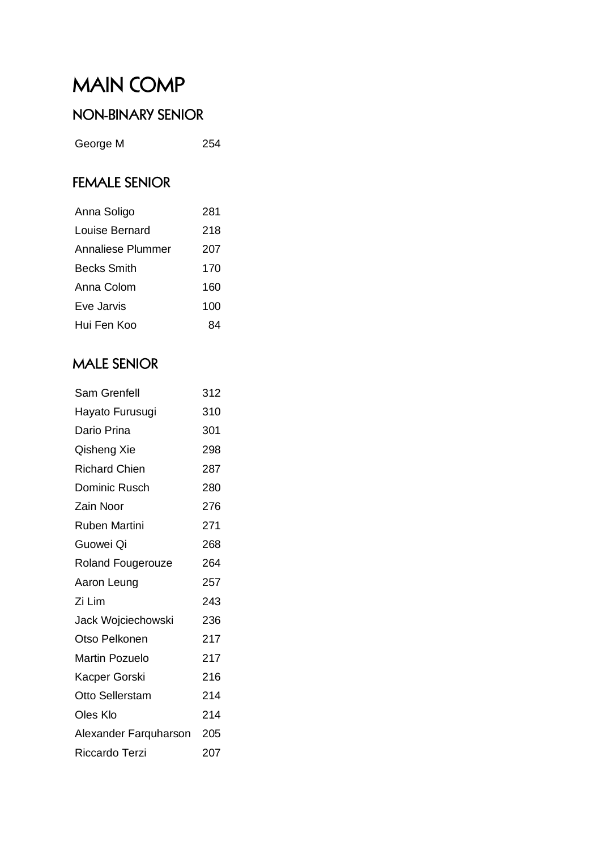# **MAIN COMP**

#### NON-BINARY SENIOR

George M 254

### **FEMALE SENIOR**

| Anna Soligo        | 281 |
|--------------------|-----|
| Louise Bernard     | 218 |
| Annaliese Plummer  | 207 |
| <b>Becks Smith</b> | 170 |
| Anna Colom         | 160 |
| Eve Jarvis         | 100 |
| Hui Fen Koo        | RД  |

#### **MALE SENIOR**

| Sam Grenfell             | 312 |
|--------------------------|-----|
| Hayato Furusugi          | 310 |
| Dario Prina              | 301 |
| Qisheng Xie              | 298 |
| <b>Richard Chien</b>     | 287 |
| Dominic Rusch            | 280 |
| Zain Noor                | 276 |
| Ruben Martini            | 271 |
| Guowei Oi                | 268 |
| <b>Roland Fougerouze</b> | 264 |
| Aaron Leung              | 257 |
| Zi Lim                   | 243 |
| Jack Wojciechowski       | 236 |
| Otso Pelkonen            | 217 |
| <b>Martin Pozuelo</b>    | 217 |
| Kacper Gorski            | 216 |
| Otto Sellerstam          | 214 |
| <b>Oles Klo</b>          | 214 |
| Alexander Farquharson    | 205 |
| Riccardo Terzi           | 207 |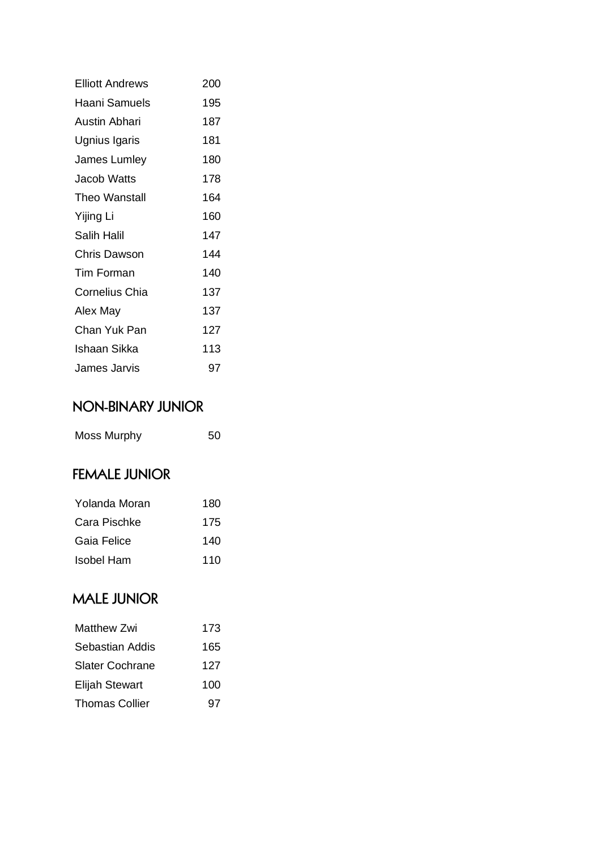| <b>Flliott Andrews</b> | 200 |
|------------------------|-----|
| Haani Samuels          | 195 |
| Austin Abhari          | 187 |
| Ugnius Igaris          | 181 |
| <b>James Lumley</b>    | 180 |
| Jacob Watts            | 178 |
| <b>Theo Wanstall</b>   | 164 |
| Yijing Li              | 160 |
| Salih Halil            | 147 |
| <b>Chris Dawson</b>    | 144 |
| <b>Tim Forman</b>      | 140 |
| <b>Cornelius Chia</b>  | 137 |
| Alex May               | 137 |
| Chan Yuk Pan           | 127 |
| Ishaan Sikka           | 113 |
| James Jarvis           | 97  |

### NON-BINARY JUNIOR

| <b>Moss Murphy</b> | 50 |
|--------------------|----|
|--------------------|----|

#### **FEMALE JUNIOR**

| Yolanda Moran | 180 |
|---------------|-----|
| Cara Pischke  | 175 |
| Gaia Felice   | 140 |
| Isobel Ham    | 110 |

### **MALE JUNIOR**

| <b>Matthew Zwi</b>     | 173 |
|------------------------|-----|
| Sebastian Addis        | 165 |
| <b>Slater Cochrane</b> | 127 |
| <b>Elijah Stewart</b>  | 100 |
| <b>Thomas Collier</b>  | 97  |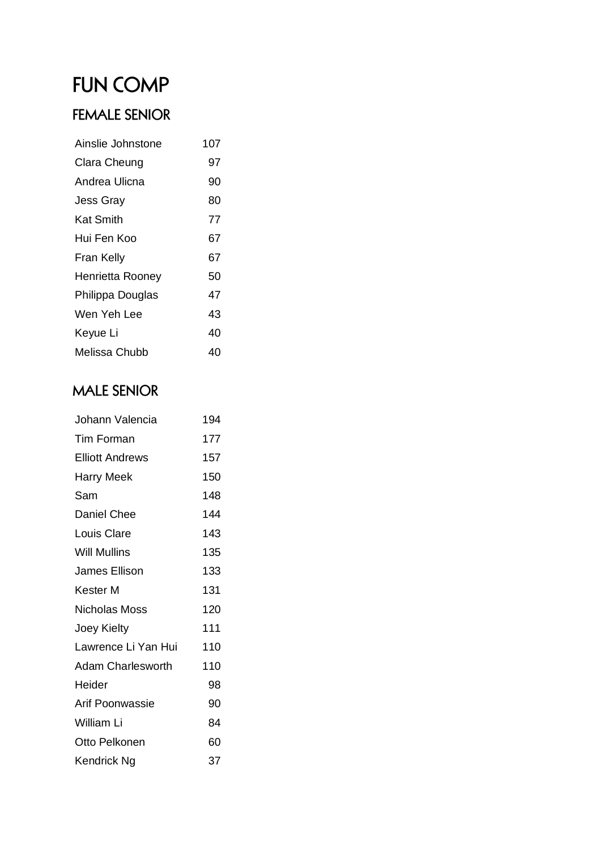## **FUN COMP**

## **FEMALE SENIOR**

| Ainslie Johnstone   | 107 |
|---------------------|-----|
| <b>Clara Cheung</b> | 97  |
| Andrea Ulicna       | 90  |
| <b>Jess Gray</b>    | 80  |
| Kat Smith           | 77  |
| Hui Fen Koo         | 67  |
| Fran Kelly          | 67  |
| Henrietta Rooney    | 50  |
| Philippa Douglas    | 47  |
| Wen Yeh Lee         | 43  |
| Keyue Li            | 40  |
| Melissa Chubb       | 40  |
|                     |     |

## **MALE SENIOR**

| 194 |
|-----|
| 177 |
| 157 |
| 150 |
| 148 |
| 144 |
| 143 |
| 135 |
| 133 |
| 131 |
| 120 |
| 111 |
| 110 |
| 110 |
| 98  |
| 90  |
| 84  |
| 60  |
| 37  |
|     |